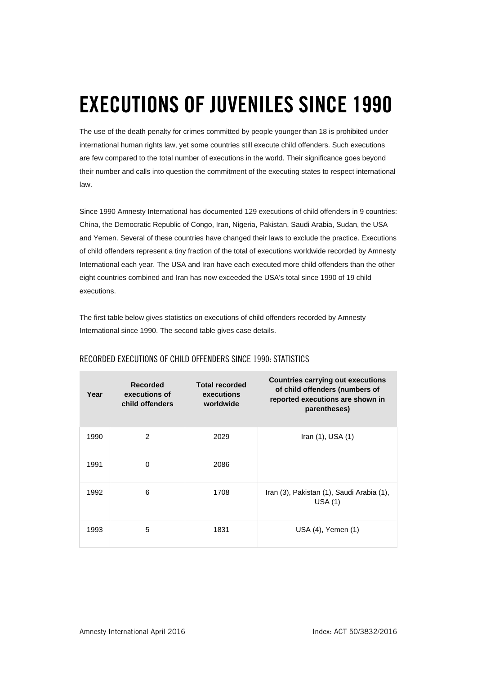## **EXECUTIONS OF JUVENILES SINCE 1990**

The use of the death penalty for crimes committed by people younger than 18 is prohibited under international human rights law, yet some countries still execute child offenders. Such executions are few compared to the total number of executions in the world. Their significance goes beyond their number and calls into question the commitment of the executing states to respect international law.

Since 1990 Amnesty International has documented 129 executions of child offenders in 9 countries: China, the Democratic Republic of Congo, Iran, Nigeria, Pakistan, Saudi Arabia, Sudan, the USA and Yemen. Several of these countries have changed their laws to exclude the practice. Executions of child offenders represent a tiny fraction of the total of executions worldwide recorded by Amnesty International each year. The USA and Iran have each executed more child offenders than the other eight countries combined and Iran has now exceeded the USA's total since 1990 of 19 child executions.

The first table below gives statistics on executions of child offenders recorded by Amnesty International since 1990. The second table gives case details.

| Year | <b>Recorded</b><br>executions of<br>child offenders | <b>Total recorded</b><br>executions<br>worldwide | <b>Countries carrying out executions</b><br>of child offenders (numbers of<br>reported executions are shown in<br>parentheses) |
|------|-----------------------------------------------------|--------------------------------------------------|--------------------------------------------------------------------------------------------------------------------------------|
| 1990 | $\overline{2}$                                      | 2029                                             | Iran $(1)$ , USA $(1)$                                                                                                         |
| 1991 | 0                                                   | 2086                                             |                                                                                                                                |
| 1992 | 6                                                   | 1708                                             | Iran (3), Pakistan (1), Saudi Arabia (1),<br>USA(1)                                                                            |
| 1993 | 5                                                   | 1831                                             | USA (4), Yemen (1)                                                                                                             |

## RECORDED EXECUTIONS OF CHILD OFFENDERS SINCE 1990: STATISTICS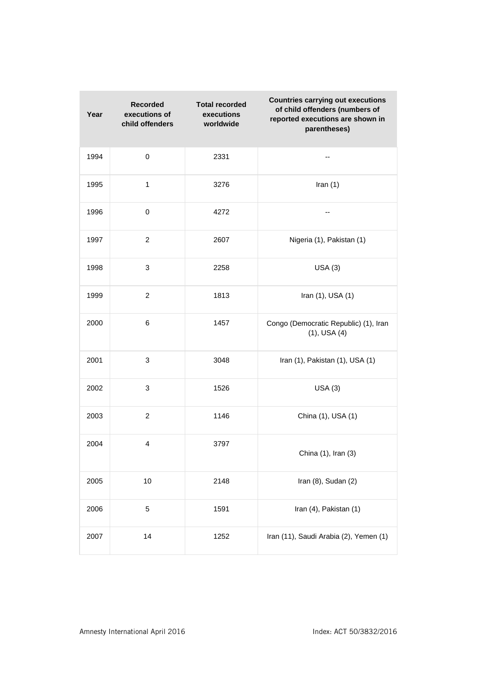| Year | <b>Recorded</b><br>executions of<br>child offenders | <b>Total recorded</b><br>executions<br>worldwide | <b>Countries carrying out executions</b><br>of child offenders (numbers of<br>reported executions are shown in<br>parentheses) |
|------|-----------------------------------------------------|--------------------------------------------------|--------------------------------------------------------------------------------------------------------------------------------|
| 1994 | $\pmb{0}$                                           | 2331                                             | --                                                                                                                             |
| 1995 | $\mathbf{1}$                                        | 3276                                             | Iran $(1)$                                                                                                                     |
| 1996 | 0                                                   | 4272                                             | --                                                                                                                             |
| 1997 | 2                                                   | 2607                                             | Nigeria (1), Pakistan (1)                                                                                                      |
| 1998 | 3                                                   | 2258                                             | USA(3)                                                                                                                         |
| 1999 | $\overline{c}$                                      | 1813                                             | Iran (1), USA (1)                                                                                                              |
| 2000 | 6                                                   | 1457                                             | Congo (Democratic Republic) (1), Iran<br>$(1)$ , USA $(4)$                                                                     |
| 2001 | 3                                                   | 3048                                             | Iran (1), Pakistan (1), USA (1)                                                                                                |
| 2002 | 3                                                   | 1526                                             | USA(3)                                                                                                                         |
| 2003 | $\overline{2}$                                      | 1146                                             | China (1), USA (1)                                                                                                             |
| 2004 | 4                                                   | 3797                                             | China (1), Iran (3)                                                                                                            |
| 2005 | 10                                                  | 2148                                             | Iran (8), Sudan (2)                                                                                                            |
| 2006 | 5                                                   | 1591                                             | Iran (4), Pakistan (1)                                                                                                         |
| 2007 | 14                                                  | 1252                                             | Iran (11), Saudi Arabia (2), Yemen (1)                                                                                         |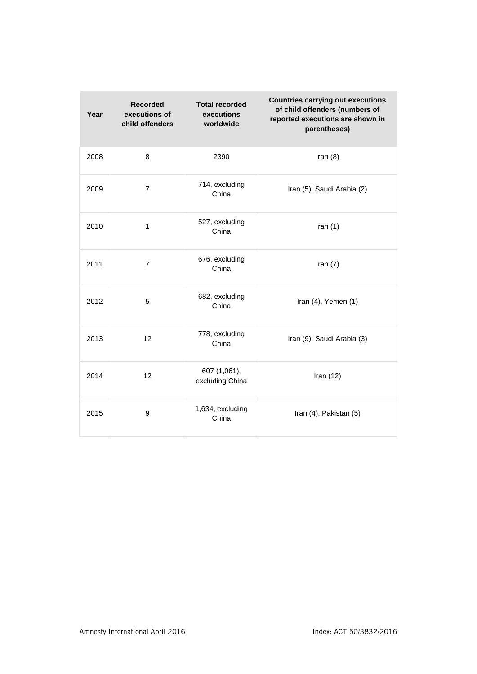| Year | <b>Recorded</b><br>executions of<br>child offenders | <b>Total recorded</b><br>executions<br>worldwide | <b>Countries carrying out executions</b><br>of child offenders (numbers of<br>reported executions are shown in<br>parentheses) |
|------|-----------------------------------------------------|--------------------------------------------------|--------------------------------------------------------------------------------------------------------------------------------|
| 2008 | 8                                                   | 2390                                             | Iran $(8)$                                                                                                                     |
| 2009 | $\overline{7}$                                      | 714, excluding<br>China                          | Iran (5), Saudi Arabia (2)                                                                                                     |
| 2010 | $\mathbf{1}$                                        | 527, excluding<br>China                          | Iran $(1)$                                                                                                                     |
| 2011 | $\overline{7}$                                      | 676, excluding<br>China                          | Iran $(7)$                                                                                                                     |
| 2012 | 5                                                   | 682, excluding<br>China                          | Iran (4), Yemen (1)                                                                                                            |
| 2013 | 12                                                  | 778, excluding<br>China                          | Iran (9), Saudi Arabia (3)                                                                                                     |
| 2014 | 12                                                  | 607 (1,061),<br>excluding China                  | Iran $(12)$                                                                                                                    |
| 2015 | 9                                                   | 1,634, excluding<br>China                        | Iran (4), Pakistan (5)                                                                                                         |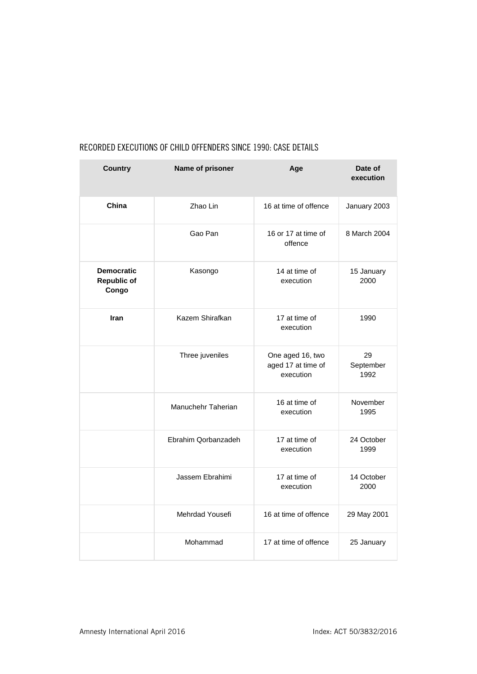| <b>Country</b>                                   | Name of prisoner    | Age                                                 | Date of<br>execution    |
|--------------------------------------------------|---------------------|-----------------------------------------------------|-------------------------|
| China                                            | Zhao Lin            | 16 at time of offence                               | January 2003            |
|                                                  | Gao Pan             | 16 or 17 at time of<br>offence                      | 8 March 2004            |
| <b>Democratic</b><br><b>Republic of</b><br>Congo | Kasongo             | 14 at time of<br>execution                          | 15 January<br>2000      |
| <b>Iran</b>                                      | Kazem Shirafkan     | 17 at time of<br>execution                          | 1990                    |
|                                                  | Three juveniles     | One aged 16, two<br>aged 17 at time of<br>execution | 29<br>September<br>1992 |
|                                                  | Manuchehr Taherian  | 16 at time of<br>execution                          | November<br>1995        |
|                                                  | Ebrahim Qorbanzadeh | 17 at time of<br>execution                          | 24 October<br>1999      |
|                                                  | Jassem Ebrahimi     | 17 at time of<br>execution                          | 14 October<br>2000      |
|                                                  | Mehrdad Yousefi     | 16 at time of offence                               | 29 May 2001             |
|                                                  | Mohammad            | 17 at time of offence                               | 25 January              |

## RECORDED EXECUTIONS OF CHILD OFFENDERS SINCE 1990: CASE DETAILS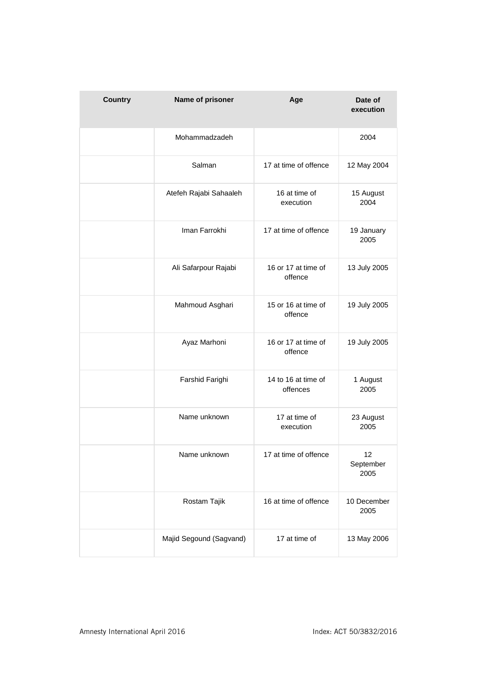| <b>Country</b> | Name of prisoner        | Age                             | Date of<br>execution    |
|----------------|-------------------------|---------------------------------|-------------------------|
|                | Mohammadzadeh           |                                 | 2004                    |
|                | Salman                  | 17 at time of offence           | 12 May 2004             |
|                | Atefeh Rajabi Sahaaleh  | 16 at time of<br>execution      | 15 August<br>2004       |
|                | Iman Farrokhi           | 17 at time of offence           | 19 January<br>2005      |
|                | Ali Safarpour Rajabi    | 16 or 17 at time of<br>offence  | 13 July 2005            |
|                | Mahmoud Asghari         | 15 or 16 at time of<br>offence  | 19 July 2005            |
|                | Ayaz Marhoni            | 16 or 17 at time of<br>offence  | 19 July 2005            |
|                | Farshid Farighi         | 14 to 16 at time of<br>offences | 1 August<br>2005        |
|                | Name unknown            | 17 at time of<br>execution      | 23 August<br>2005       |
|                | Name unknown            | 17 at time of offence           | 12<br>September<br>2005 |
|                | Rostam Tajik            | 16 at time of offence           | 10 December<br>2005     |
|                | Majid Segound (Sagvand) | 17 at time of                   | 13 May 2006             |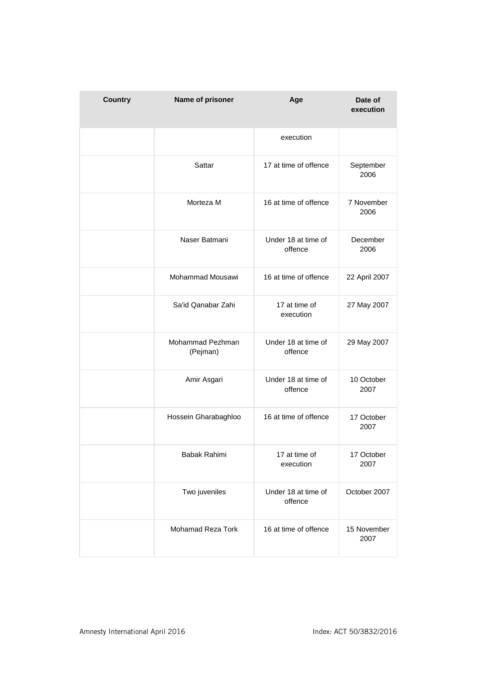| <b>Country</b> | Name of prisoner             | Age                            | Date of<br>execution |
|----------------|------------------------------|--------------------------------|----------------------|
|                |                              | execution                      |                      |
|                | Sattar                       | 17 at time of offence          | September<br>2006    |
|                | Morteza M                    | 16 at time of offence          | 7 November<br>2006   |
|                | Naser Batmani                | Under 18 at time of<br>offence | December<br>2006     |
|                | Mohammad Mousawi             | 16 at time of offence          | 22 April 2007        |
|                | Sa'id Qanabar Zahi           | 17 at time of<br>execution     | 27 May 2007          |
|                | Mohammad Pezhman<br>(Pejman) | Under 18 at time of<br>offence | 29 May 2007          |
|                | Amir Asgari                  | Under 18 at time of<br>offence | 10 October<br>2007   |
|                | Hossein Gharabaghloo         | 16 at time of offence          | 17 October<br>2007   |
|                | Babak Rahimi                 | 17 at time of<br>execution     | 17 October<br>2007   |
|                | Two juveniles                | Under 18 at time of<br>offence | October 2007         |
|                | <b>Mohamad Reza Tork</b>     | 16 at time of offence          | 15 November<br>2007  |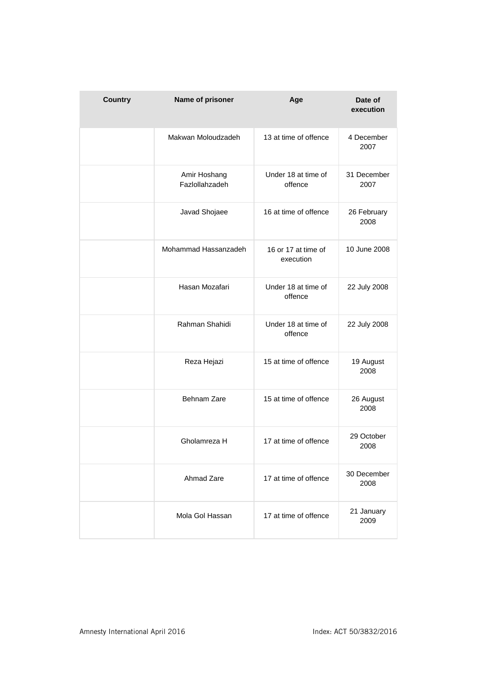| <b>Country</b> | Name of prisoner               | Age                              | Date of<br>execution |
|----------------|--------------------------------|----------------------------------|----------------------|
|                | Makwan Moloudzadeh             | 13 at time of offence            | 4 December<br>2007   |
|                | Amir Hoshang<br>Fazlollahzadeh | Under 18 at time of<br>offence   | 31 December<br>2007  |
|                | Javad Shojaee                  | 16 at time of offence            | 26 February<br>2008  |
|                | Mohammad Hassanzadeh           | 16 or 17 at time of<br>execution | 10 June 2008         |
|                | Hasan Mozafari                 | Under 18 at time of<br>offence   | 22 July 2008         |
|                | Rahman Shahidi                 | Under 18 at time of<br>offence   | 22 July 2008         |
|                | Reza Hejazi                    | 15 at time of offence            | 19 August<br>2008    |
|                | Behnam Zare                    | 15 at time of offence            | 26 August<br>2008    |
|                | Gholamreza H                   | 17 at time of offence            | 29 October<br>2008   |
|                | Ahmad Zare                     | 17 at time of offence            | 30 December<br>2008  |
|                | Mola Gol Hassan                | 17 at time of offence            | 21 January<br>2009   |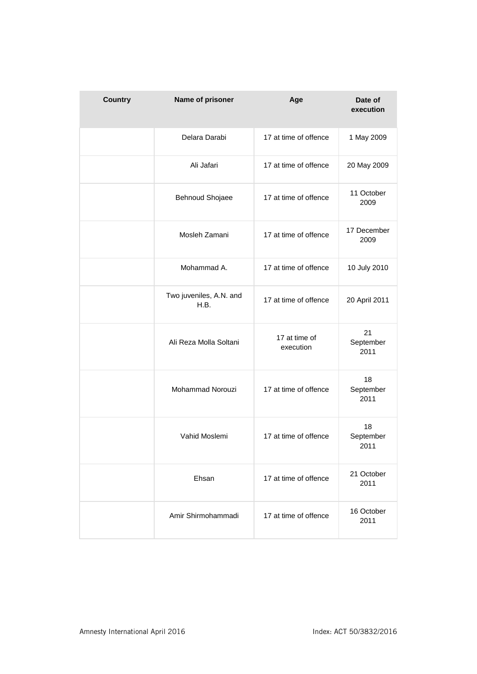| <b>Country</b> | Name of prisoner                | Age                        | Date of<br>execution    |
|----------------|---------------------------------|----------------------------|-------------------------|
|                | Delara Darabi                   | 17 at time of offence      | 1 May 2009              |
|                | Ali Jafari                      | 17 at time of offence      | 20 May 2009             |
|                | Behnoud Shojaee                 | 17 at time of offence      | 11 October<br>2009      |
|                | Mosleh Zamani                   | 17 at time of offence      | 17 December<br>2009     |
|                | Mohammad A.                     | 17 at time of offence      | 10 July 2010            |
|                | Two juveniles, A.N. and<br>H.B. | 17 at time of offence      | 20 April 2011           |
|                | Ali Reza Molla Soltani          | 17 at time of<br>execution | 21<br>September<br>2011 |
|                | Mohammad Norouzi                | 17 at time of offence      | 18<br>September<br>2011 |
|                | Vahid Moslemi                   | 17 at time of offence      | 18<br>September<br>2011 |
|                | Ehsan                           | 17 at time of offence      | 21 October<br>2011      |
|                | Amir Shirmohammadi              | 17 at time of offence      | 16 October<br>2011      |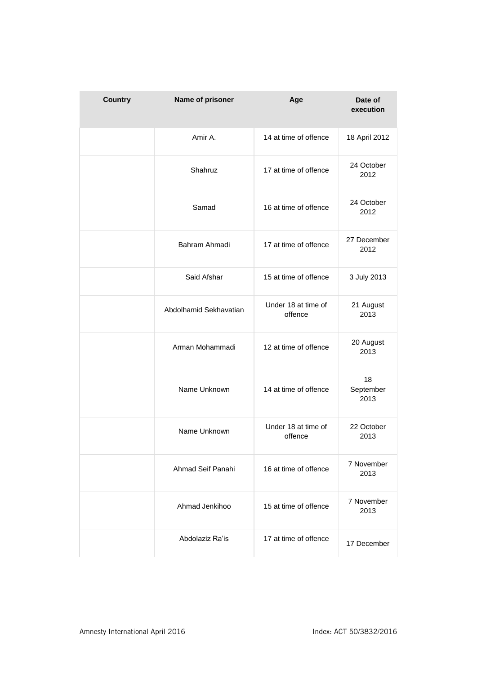| <b>Country</b> | Name of prisoner       | Age                            | Date of<br>execution    |
|----------------|------------------------|--------------------------------|-------------------------|
|                | Amir A.                | 14 at time of offence          | 18 April 2012           |
|                | Shahruz                | 17 at time of offence          | 24 October<br>2012      |
|                | Samad                  | 16 at time of offence          | 24 October<br>2012      |
|                | Bahram Ahmadi          | 17 at time of offence          | 27 December<br>2012     |
|                | Said Afshar            | 15 at time of offence          | 3 July 2013             |
|                | Abdolhamid Sekhavatian | Under 18 at time of<br>offence | 21 August<br>2013       |
|                | Arman Mohammadi        | 12 at time of offence          | 20 August<br>2013       |
|                | Name Unknown           | 14 at time of offence          | 18<br>September<br>2013 |
|                | Name Unknown           | Under 18 at time of<br>offence | 22 October<br>2013      |
|                | Ahmad Seif Panahi      | 16 at time of offence          | 7 November<br>2013      |
|                | Ahmad Jenkihoo         | 15 at time of offence          | 7 November<br>2013      |
|                | Abdolaziz Ra'is        | 17 at time of offence          | 17 December             |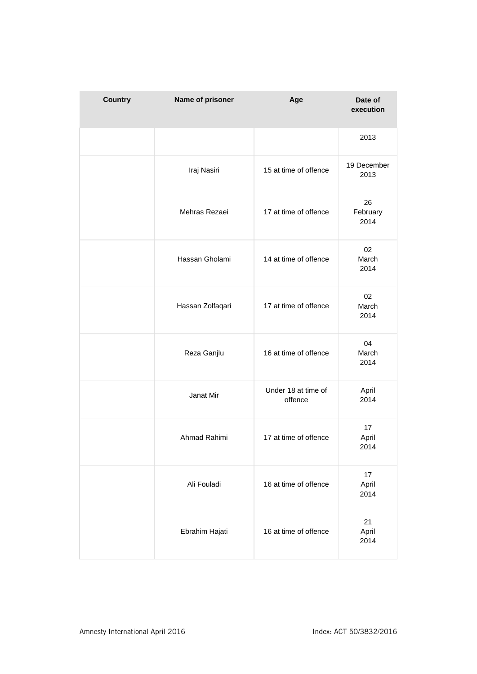| <b>Country</b> | Name of prisoner | Age                            | Date of<br>execution   |
|----------------|------------------|--------------------------------|------------------------|
|                |                  |                                | 2013                   |
|                | Iraj Nasiri      | 15 at time of offence          | 19 December<br>2013    |
|                | Mehras Rezaei    | 17 at time of offence          | 26<br>February<br>2014 |
|                | Hassan Gholami   | 14 at time of offence          | 02<br>March<br>2014    |
|                | Hassan Zolfaqari | 17 at time of offence          | 02<br>March<br>2014    |
|                | Reza Ganjlu      | 16 at time of offence          | 04<br>March<br>2014    |
|                | Janat Mir        | Under 18 at time of<br>offence | April<br>2014          |
|                | Ahmad Rahimi     | 17 at time of offence          | 17<br>April<br>2014    |
|                | Ali Fouladi      | 16 at time of offence          | 17<br>April<br>2014    |
|                | Ebrahim Hajati   | 16 at time of offence          | 21<br>April<br>2014    |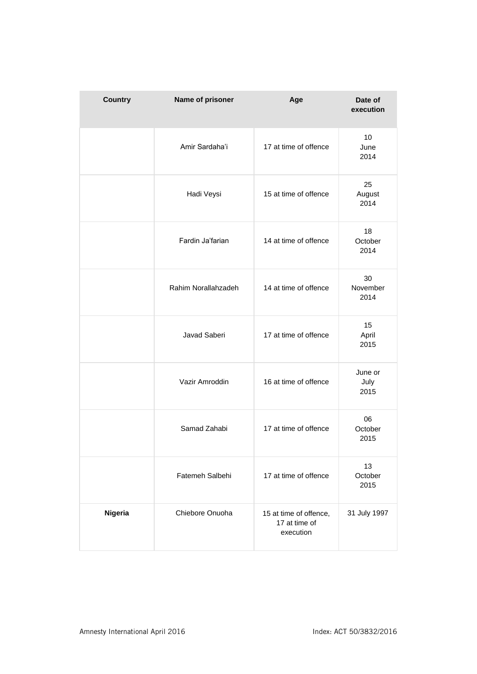| <b>Country</b> | Name of prisoner    | Age                                                  | Date of<br>execution    |
|----------------|---------------------|------------------------------------------------------|-------------------------|
|                | Amir Sardaha'i      | 17 at time of offence                                | 10<br>June<br>2014      |
|                | Hadi Veysi          | 15 at time of offence                                | 25<br>August<br>2014    |
|                | Fardin Ja'farian    | 14 at time of offence                                | 18<br>October<br>2014   |
|                | Rahim Norallahzadeh | 14 at time of offence                                | 30<br>November<br>2014  |
|                | Javad Saberi        | 17 at time of offence                                | 15<br>April<br>2015     |
|                | Vazir Amroddin      | 16 at time of offence                                | June or<br>July<br>2015 |
|                | Samad Zahabi        | 17 at time of offence                                | 06<br>October<br>2015   |
|                | Fatemeh Salbehi     | 17 at time of offence                                | 13<br>October<br>2015   |
| Nigeria        | Chiebore Onuoha     | 15 at time of offence,<br>17 at time of<br>execution | 31 July 1997            |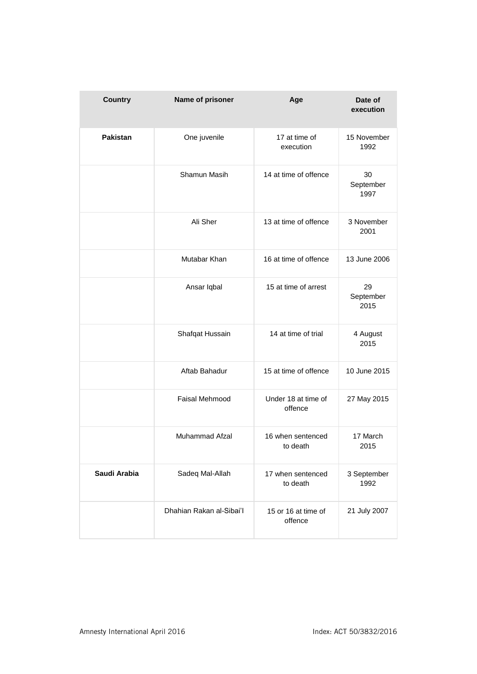| <b>Country</b>  | Name of prisoner         | Age                            | Date of<br>execution    |
|-----------------|--------------------------|--------------------------------|-------------------------|
| <b>Pakistan</b> | One juvenile             | 17 at time of<br>execution     | 15 November<br>1992     |
|                 | Shamun Masih             | 14 at time of offence          | 30<br>September<br>1997 |
|                 | Ali Sher                 | 13 at time of offence          | 3 November<br>2001      |
|                 | Mutabar Khan             | 16 at time of offence          | 13 June 2006            |
|                 | Ansar Iqbal              | 15 at time of arrest           | 29<br>September<br>2015 |
|                 | Shafqat Hussain          | 14 at time of trial            | 4 August<br>2015        |
|                 | Aftab Bahadur            | 15 at time of offence          | 10 June 2015            |
|                 | <b>Faisal Mehmood</b>    | Under 18 at time of<br>offence | 27 May 2015             |
|                 | Muhammad Afzal           | 16 when sentenced<br>to death  | 17 March<br>2015        |
| Saudi Arabia    | Sadeq Mal-Allah          | 17 when sentenced<br>to death  | 3 September<br>1992     |
|                 | Dhahian Rakan al-Sibai'l | 15 or 16 at time of<br>offence | 21 July 2007            |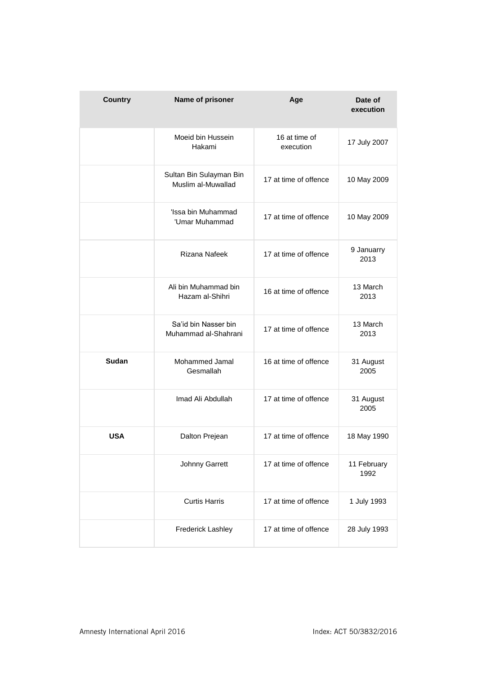| <b>Country</b> | Name of prisoner                              | Age                        | Date of<br>execution |
|----------------|-----------------------------------------------|----------------------------|----------------------|
|                | Moeid bin Hussein<br>Hakami                   | 16 at time of<br>execution | 17 July 2007         |
|                | Sultan Bin Sulayman Bin<br>Muslim al-Muwallad | 17 at time of offence      | 10 May 2009          |
|                | 'Issa bin Muhammad<br>'Umar Muhammad          | 17 at time of offence      | 10 May 2009          |
|                | Rizana Nafeek                                 | 17 at time of offence      | 9 Januarry<br>2013   |
|                | Ali bin Muhammad bin<br>Hazam al-Shihri       | 16 at time of offence      | 13 March<br>2013     |
|                | Sa'id bin Nasser bin<br>Muhammad al-Shahrani  | 17 at time of offence      | 13 March<br>2013     |
| <b>Sudan</b>   | Mohammed Jamal<br>Gesmallah                   | 16 at time of offence      | 31 August<br>2005    |
|                | Imad Ali Abdullah                             | 17 at time of offence      | 31 August<br>2005    |
| USA            | Dalton Prejean                                | 17 at time of offence      | 18 May 1990          |
|                | Johnny Garrett                                | 17 at time of offence      | 11 February<br>1992  |
|                | <b>Curtis Harris</b>                          | 17 at time of offence      | 1 July 1993          |
|                | Frederick Lashley                             | 17 at time of offence      | 28 July 1993         |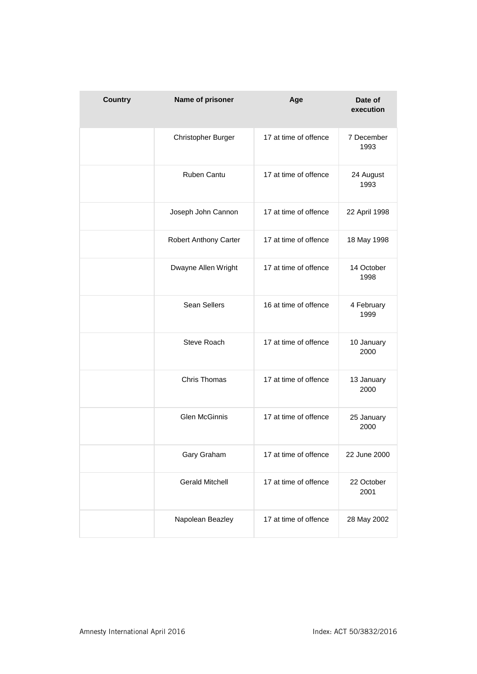| <b>Country</b> | Name of prisoner       | Age                   | Date of<br>execution |
|----------------|------------------------|-----------------------|----------------------|
|                | Christopher Burger     | 17 at time of offence | 7 December<br>1993   |
|                | Ruben Cantu            | 17 at time of offence | 24 August<br>1993    |
|                | Joseph John Cannon     | 17 at time of offence | 22 April 1998        |
|                | Robert Anthony Carter  | 17 at time of offence | 18 May 1998          |
|                | Dwayne Allen Wright    | 17 at time of offence | 14 October<br>1998   |
|                | Sean Sellers           | 16 at time of offence | 4 February<br>1999   |
|                | Steve Roach            | 17 at time of offence | 10 January<br>2000   |
|                | Chris Thomas           | 17 at time of offence | 13 January<br>2000   |
|                | <b>Glen McGinnis</b>   | 17 at time of offence | 25 January<br>2000   |
|                | Gary Graham            | 17 at time of offence | 22 June 2000         |
|                | <b>Gerald Mitchell</b> | 17 at time of offence | 22 October<br>2001   |
|                | Napolean Beazley       | 17 at time of offence | 28 May 2002          |